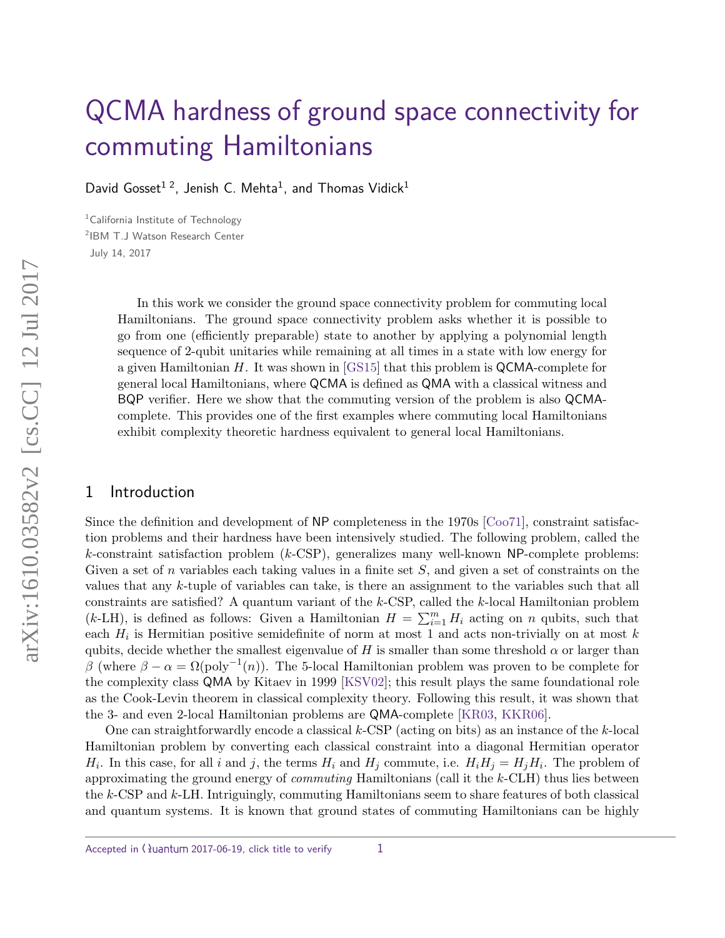# [QCMA hardness of ground space connectivity for](http://quantum-journal.org/?s=QCMA hardness of ground space connectivity for commuting Hamiltonians) commuting Hamiltonians

David Gosset $^{1,2}$ , Jenish C. Mehta $^{1}$ , and Thomas Vidick $^{1}$ 

<sup>1</sup>California Institute of Technology 2 IBM T.J Watson Research Center July 14, 2017

> In this work we consider the ground space connectivity problem for commuting local Hamiltonians. The ground space connectivity problem asks whether it is possible to go from one (efficiently preparable) state to another by applying a polynomial length sequence of 2-qubit unitaries while remaining at all times in a state with low energy for a given Hamiltonian *H*. It was shown in [\[GS15\]](#page-10-0) that this problem is QCMA-complete for general local Hamiltonians, where QCMA is defined as QMA with a classical witness and BQP verifier. Here we show that the commuting version of the problem is also QCMAcomplete. This provides one of the first examples where commuting local Hamiltonians exhibit complexity theoretic hardness equivalent to general local Hamiltonians.

#### 1 Introduction

Since the definition and development of NP completeness in the 1970s [\[Coo71\]](#page-9-0), constraint satisfaction problems and their hardness have been intensively studied. The following problem, called the *k*-constraint satisfaction problem (*k*-CSP), generalizes many well-known NP-complete problems: Given a set of *n* variables each taking values in a finite set *S*, and given a set of constraints on the values that any *k*-tuple of variables can take, is there an assignment to the variables such that all constraints are satisfied? A quantum variant of the *k*-CSP, called the *k*-local Hamiltonian problem  $(k-LH)$ , is defined as follows: Given a Hamiltonian  $H = \sum_{i=1}^{m} H_i$  acting on *n* qubits, such that each *H<sup>i</sup>* is Hermitian positive semidefinite of norm at most 1 and acts non-trivially on at most *k* qubits, decide whether the smallest eigenvalue of *H* is smaller than some threshold  $\alpha$  or larger than *β* (where  $β - α = Ω(poly<sup>-1</sup>(n))$ ). The 5-local Hamiltonian problem was proven to be complete for the complexity class QMA by Kitaev in 1999 [\[KSV02\]](#page-10-1); this result plays the same foundational role as the Cook-Levin theorem in classical complexity theory. Following this result, it was shown that the 3- and even 2-local Hamiltonian problems are QMA-complete [\[KR03,](#page-10-2) [KKR06\]](#page-10-3).

One can straightforwardly encode a classical *k*-CSP (acting on bits) as an instance of the *k*-local Hamiltonian problem by converting each classical constraint into a diagonal Hermitian operator *H*<sub>i</sub>. In this case, for all *i* and *j*, the terms *H*<sub>i</sub> and *H*<sub>*j*</sub> commute, i.e.  $H_i H_j = H_j H_i$ . The problem of approximating the ground energy of commuting Hamiltonians (call it the *k*-CLH) thus lies between the *k*-CSP and *k*-LH. Intriguingly, commuting Hamiltonians seem to share features of both classical and quantum systems. It is known that ground states of commuting Hamiltonians can be highly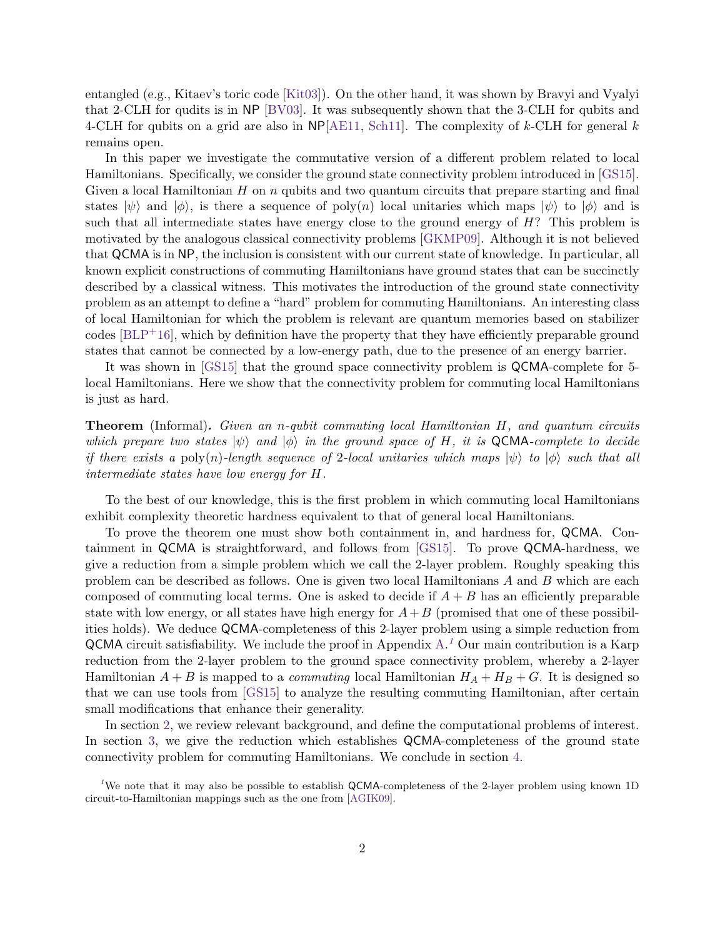entangled (e.g., Kitaev's toric code [\[Kit03\]](#page-10-4)). On the other hand, it was shown by Bravyi and Vyalyi that 2-CLH for qudits is in NP [\[BV03\]](#page-9-1). It was subsequently shown that the 3-CLH for qubits and 4-CLH for qubits on a grid are also in NP[\[AE11,](#page-9-2) [Sch11\]](#page-10-5). The complexity of *k*-CLH for general *k* remains open.

In this paper we investigate the commutative version of a different problem related to local Hamiltonians. Specifically, we consider the ground state connectivity problem introduced in [\[GS15\]](#page-10-0). Given a local Hamiltonian *H* on *n* qubits and two quantum circuits that prepare starting and final states  $|\psi\rangle$  and  $|\phi\rangle$ , is there a sequence of poly(*n*) local unitaries which maps  $|\psi\rangle$  to  $|\phi\rangle$  and is such that all intermediate states have energy close to the ground energy of *H*? This problem is motivated by the analogous classical connectivity problems [\[GKMP09\]](#page-9-3). Although it is not believed that QCMA is in NP, the inclusion is consistent with our current state of knowledge. In particular, all known explicit constructions of commuting Hamiltonians have ground states that can be succinctly described by a classical witness. This motivates the introduction of the ground state connectivity problem as an attempt to define a "hard" problem for commuting Hamiltonians. An interesting class of local Hamiltonian for which the problem is relevant are quantum memories based on stabilizer codes [\[BLP](#page-9-4)+16], which by definition have the property that they have efficiently preparable ground states that cannot be connected by a low-energy path, due to the presence of an energy barrier.

It was shown in [\[GS15\]](#page-10-0) that the ground space connectivity problem is QCMA-complete for 5 local Hamiltonians. Here we show that the connectivity problem for commuting local Hamiltonians is just as hard.

**Theorem** (Informal)**.** *Given an n-qubit commuting local Hamiltonian H, and quantum circuits which prepare two states*  $|\psi\rangle$  *and*  $|\phi\rangle$  *in the ground space of H, it is* QCMA*-complete to decide if there exists a* poly(*n*)*-length sequence of* 2*-local unitaries which maps*  $|\psi\rangle$  *to*  $|\phi\rangle$  *such that all intermediate states have low energy for H.*

To the best of our knowledge, this is the first problem in which commuting local Hamiltonians exhibit complexity theoretic hardness equivalent to that of general local Hamiltonians.

To prove the theorem one must show both containment in, and hardness for, QCMA. Containment in QCMA is straightforward, and follows from [\[GS15\]](#page-10-0). To prove QCMA-hardness, we give a reduction from a simple problem which we call the 2-layer problem. Roughly speaking this problem can be described as follows. One is given two local Hamiltonians *A* and *B* which are each composed of commuting local terms. One is asked to decide if  $A + B$  has an efficiently preparable state with low energy, or all states have high energy for  $A+B$  (promised that one of these possibilities holds). We deduce QCMA-completeness of this 2-layer problem using a simple reduction from QCMA circuit satisfiability. We include the proof in Appendix [A.](#page-10-6) *[1](#page-1-0)* Our main contribution is a Karp reduction from the 2-layer problem to the ground space connectivity problem, whereby a 2-layer Hamiltonian  $A + B$  is mapped to a *commuting* local Hamiltonian  $H_A + H_B + G$ . It is designed so that we can use tools from [\[GS15\]](#page-10-0) to analyze the resulting commuting Hamiltonian, after certain small modifications that enhance their generality.

In section [2,](#page-2-0) we review relevant background, and define the computational problems of interest. In section [3,](#page-3-0) we give the reduction which establishes QCMA-completeness of the ground state connectivity problem for commuting Hamiltonians. We conclude in section [4.](#page-9-5)

<span id="page-1-0"></span><sup>1</sup>We note that it may also be possible to establish QCMA-completeness of the 2-layer problem using known 1D circuit-to-Hamiltonian mappings such as the one from [\[AGIK09\]](#page-9-6).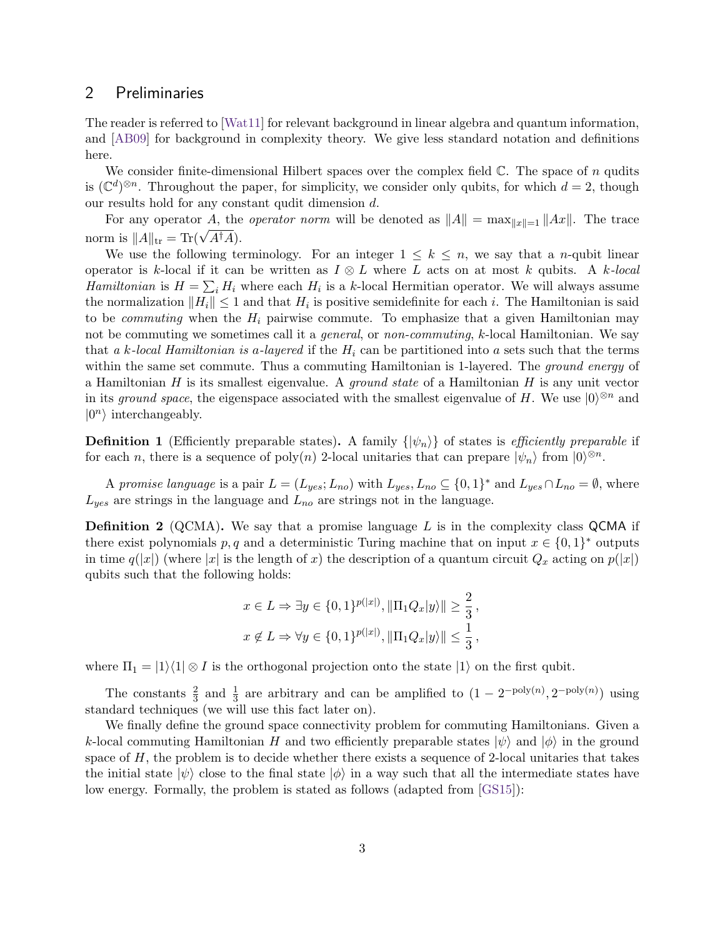#### <span id="page-2-0"></span>2 Preliminaries

The reader is referred to [\[Wat11\]](#page-10-7) for relevant background in linear algebra and quantum information, and [\[AB09\]](#page-9-7) for background in complexity theory. We give less standard notation and definitions here.

We consider finite-dimensional Hilbert spaces over the complex field  $\mathbb{C}$ . The space of *n* qudits is  $(\mathbb{C}^d)^{\otimes n}$ . Throughout the paper, for simplicity, we consider only qubits, for which  $d=2$ , though our results hold for any constant qudit dimension *d*.

For any operator *A*, the *operator norm* will be denoted as  $||A|| = \max_{||x||=1} ||Ax||$ . The trace norm is  $||A||_{tr} = Tr(\sqrt{A^{\dagger}A}).$ 

We use the following terminology. For an integer  $1 \leq k \leq n$ , we say that a *n*-qubit linear operator is *k*-local if it can be written as  $I \otimes L$  where *L* acts on at most *k* qubits. A *k*-local *Hamiltonian* is  $H = \sum_i H_i$  where each  $H_i$  is a *k*-local Hermitian operator. We will always assume the normalization  $||H_i|| \leq 1$  and that  $H_i$  is positive semidefinite for each *i*. The Hamiltonian is said to be *commuting* when the  $H_i$  pairwise commute. To emphasize that a given Hamiltonian may not be commuting we sometimes call it a general, or non-commuting, *k*-local Hamiltonian. We say that a *k*-local Hamiltonian is *a*-layered if the *H<sup>i</sup>* can be partitioned into *a* sets such that the terms within the same set commute. Thus a commuting Hamiltonian is 1-layered. The *ground energy* of a Hamiltonian *H* is its smallest eigenvalue. A ground state of a Hamiltonian *H* is any unit vector in its ground space, the eigenspace associated with the smallest eigenvalue of *H*. We use  $|0\rangle^{\otimes n}$  and  $|0^n\rangle$  interchangeably.

**Definition 1** (Efficiently preparable states). A family  $\{|\psi_n\rangle\}$  of states is *efficiently preparable* if for each *n*, there is a sequence of poly $(n)$  2-local unitaries that can prepare  $|\psi_n\rangle$  from  $|0\rangle^{\otimes n}$ .

A promise language is a pair  $L = (L_{yes}; L_{no})$  with  $L_{yes}, L_{no} \subseteq \{0, 1\}^*$  and  $L_{yes} \cap L_{no} = \emptyset$ , where *Lyes* are strings in the language and *Lno* are strings not in the language.

**Definition 2** (QCMA)**.** We say that a promise language *L* is in the complexity class QCMA if there exist polynomials  $p, q$  and a deterministic Turing machine that on input  $x \in \{0, 1\}^*$  outputs in time  $q(|x|)$  (where  $|x|$  is the length of *x*) the description of a quantum circuit  $Q_x$  acting on  $p(|x|)$ qubits such that the following holds:

$$
x \in L \Rightarrow \exists y \in \{0, 1\}^{p(|x|)}, ||\Pi_1 Q_x | y \rangle || \ge \frac{2}{3},
$$
  

$$
x \notin L \Rightarrow \forall y \in \{0, 1\}^{p(|x|)}, ||\Pi_1 Q_x | y \rangle || \le \frac{1}{3},
$$

where  $\Pi_1 = |1\rangle\langle 1| \otimes I$  is the orthogonal projection onto the state  $|1\rangle$  on the first qubit.

The constants  $\frac{2}{3}$  and  $\frac{1}{3}$  are arbitrary and can be amplified to  $(1 - 2^{-\text{poly}(n)}, 2^{-\text{poly}(n)})$  using standard techniques (we will use this fact later on).

We finally define the ground space connectivity problem for commuting Hamiltonians. Given a *k*-local commuting Hamiltonian *H* and two efficiently preparable states  $|\psi\rangle$  and  $|\phi\rangle$  in the ground space of *H*, the problem is to decide whether there exists a sequence of 2-local unitaries that takes the initial state  $|\psi\rangle$  close to the final state  $|\phi\rangle$  in a way such that all the intermediate states have low energy. Formally, the problem is stated as follows (adapted from [\[GS15\]](#page-10-0)):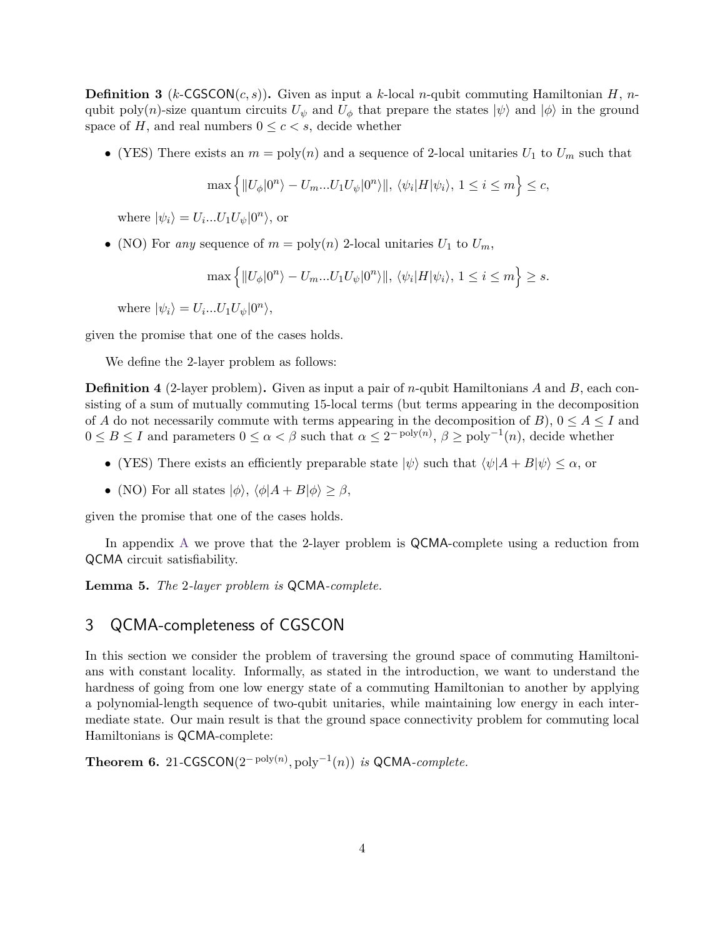**Definition 3** ( $k$ -CGSCON( $c, s$ )). Given as input a  $k$ -local *n*-qubit commuting Hamiltonian *H*, *n*qubit poly(*n*)-size quantum circuits  $U_{\psi}$  and  $U_{\phi}$  that prepare the states  $|\psi\rangle$  and  $|\phi\rangle$  in the ground space of *H*, and real numbers  $0 \leq c < s$ , decide whether

• (YES) There exists an  $m = \text{poly}(n)$  and a sequence of 2-local unitaries  $U_1$  to  $U_m$  such that

$$
\max\left\{\|U_{\phi}|0^n\rangle - U_m...U_1U_{\psi}|0^n\rangle\|, \,\langle\psi_i|H|\psi_i\rangle, \,1\leq i\leq m\right\}\leq c,
$$

where  $|\psi_i\rangle = U_i...U_1U_{\psi}|0^n\rangle$ , or

• (NO) For *any* sequence of  $m = \text{poly}(n)$  2-local unitaries  $U_1$  to  $U_m$ ,

$$
\max\left\{\|U_{\phi}|0^n\rangle - U_m...U_1U_{\psi}|0^n\rangle\|, \,\langle\psi_i|H|\psi_i\rangle,\, 1\leq i\leq m\right\}\geq s.
$$

where  $|\psi_i\rangle = U_i...U_1U_{\psi}|0^n\rangle,$ 

given the promise that one of the cases holds.

We define the 2-layer problem as follows:

**Definition 4** (2-layer problem)**.** Given as input a pair of *n*-qubit Hamiltonians *A* and *B*, each consisting of a sum of mutually commuting 15-local terms (but terms appearing in the decomposition of *A* do not necessarily commute with terms appearing in the decomposition of *B*),  $0 \leq A \leq I$  and  $0 \leq B \leq I$  and parameters  $0 \leq \alpha < \beta$  such that  $\alpha \leq 2^{-\text{poly}(n)}$ ,  $\beta \geq \text{poly}^{-1}(n)$ , decide whether

- (YES) There exists an efficiently preparable state  $|\psi\rangle$  such that  $\langle \psi | A + B | \psi \rangle \leq \alpha$ , or
- (NO) For all states  $|\phi\rangle$ ,  $\langle \phi|A + B|\phi\rangle > \beta$ ,

given the promise that one of the cases holds.

In appendix [A](#page-10-6) we prove that the 2-layer problem is QCMA-complete using a reduction from QCMA circuit satisfiability.

<span id="page-3-2"></span>**Lemma 5.** *The* 2*-layer problem is* QCMA*-complete.*

### <span id="page-3-0"></span>3 QCMA-completeness of CGSCON

In this section we consider the problem of traversing the ground space of commuting Hamiltonians with constant locality. Informally, as stated in the introduction, we want to understand the hardness of going from one low energy state of a commuting Hamiltonian to another by applying a polynomial-length sequence of two-qubit unitaries, while maintaining low energy in each intermediate state. Our main result is that the ground space connectivity problem for commuting local Hamiltonians is QCMA-complete:

<span id="page-3-1"></span>**Theorem 6.** 21-CGSCON $(2^{-poly(n)}, poly^{-1}(n))$  *is* QCMA-*complete.*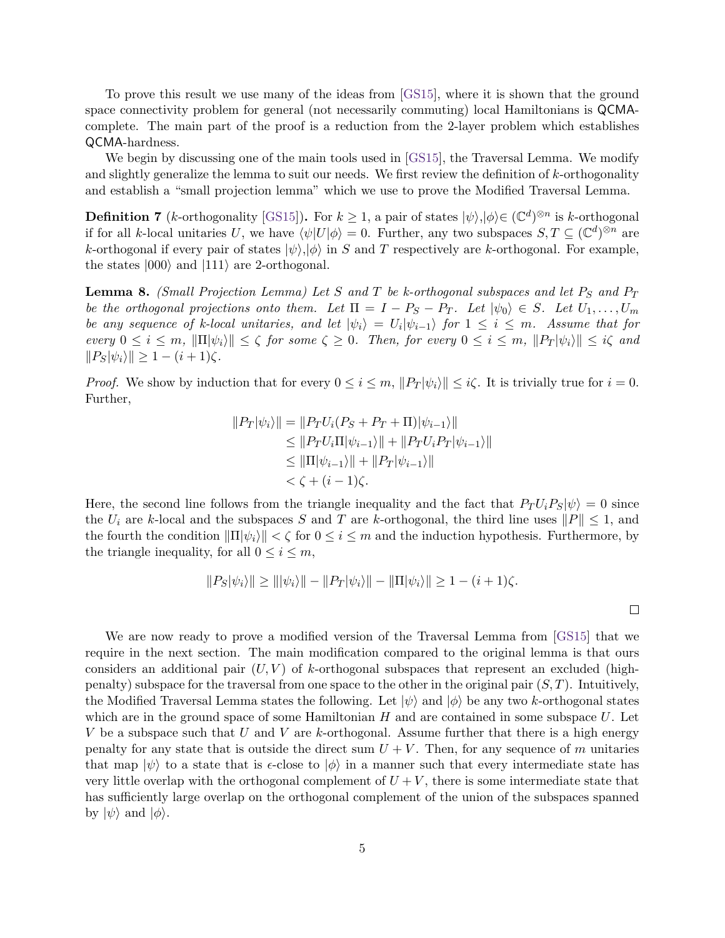To prove this result we use many of the ideas from [\[GS15\]](#page-10-0), where it is shown that the ground space connectivity problem for general (not necessarily commuting) local Hamiltonians is QCMAcomplete. The main part of the proof is a reduction from the 2-layer problem which establishes QCMA-hardness.

We begin by discussing one of the main tools used in [\[GS15\]](#page-10-0), the Traversal Lemma. We modify and slightly generalize the lemma to suit our needs. We first review the definition of *k*-orthogonality and establish a "small projection lemma" which we use to prove the Modified Traversal Lemma.

**Definition 7** (*k*-orthogonality [\[GS15\]](#page-10-0)). For  $k \ge 1$ , a pair of states  $|\psi\rangle, |\phi\rangle \in (\mathbb{C}^d)^{\otimes n}$  is *k*-orthogonal if for all *k*-local unitaries *U*, we have  $\langle \psi | U | \phi \rangle = 0$ . Further, any two subspaces  $S, T \subseteq (\mathbb{C}^d)^{\otimes n}$  are *k*-orthogonal if every pair of states  $|\psi\rangle, |\phi\rangle$  in *S* and *T* respectively are *k*-orthogonal. For example, the states  $|000\rangle$  and  $|111\rangle$  are 2-orthogonal.

<span id="page-4-0"></span>**Lemma 8.** *(Small Projection Lemma) Let S and T be k-orthogonal subspaces and let P<sup>S</sup> and P<sup>T</sup> be the orthogonal projections onto them.* Let  $\Pi = I - P_S - P_T$ . Let  $|\psi_0\rangle \in S$ . Let  $U_1, \ldots, U_m$ *be any sequence of k-local unitaries, and let*  $|\psi_i\rangle = U_i |\psi_{i-1}\rangle$  for  $1 \leq i \leq m$ . Assume that for  $e^{i\theta} \leq e^{i\theta} \leq e^{i\theta}$ ,  $\|\Pi[\psi_i\|] \leq \zeta$  *for some*  $\zeta \geq 0$ . Then, for every  $0 \leq i \leq m$ ,  $\|P_T[\psi_i\|] \leq i\zeta$  and  $||P_S|\psi_i\rangle|| \geq 1 - (i+1)\zeta$ .

*Proof.* We show by induction that for every  $0 \leq i \leq m$ ,  $||P_T|\psi_i\rangle|| \leq i\zeta$ . It is trivially true for  $i = 0$ . Further,

$$
||P_T|\psi_i\rangle|| = ||P_T U_i (P_S + P_T + \Pi)|\psi_{i-1}\rangle||
$$
  
\n
$$
\leq ||P_T U_i \Pi|\psi_{i-1}\rangle|| + ||P_T U_i P_T|\psi_{i-1}\rangle||
$$
  
\n
$$
\leq ||\Pi|\psi_{i-1}\rangle|| + ||P_T|\psi_{i-1}\rangle||
$$
  
\n
$$
< \zeta + (i - 1)\zeta.
$$

Here, the second line follows from the triangle inequality and the fact that  $P_T U_i P_S |\psi\rangle = 0$  since the  $U_i$  are *k*-local and the subspaces *S* and *T* are *k*-orthogonal, the third line uses  $||P|| \le 1$ , and the fourth the condition  $\|\Pi|\psi_i\rangle\| < \zeta$  for  $0 \leq i \leq m$  and the induction hypothesis. Furthermore, by the triangle inequality, for all  $0 \leq i \leq m$ ,

$$
||P_S|\psi_i\rangle|| \ge |||\psi_i\rangle|| - ||P_T|\psi_i\rangle|| - ||\Pi|\psi_i\rangle|| \ge 1 - (i+1)\zeta.
$$

We are now ready to prove a modified version of the Traversal Lemma from [\[GS15\]](#page-10-0) that we require in the next section. The main modification compared to the original lemma is that ours considers an additional pair (*U, V* ) of *k*-orthogonal subspaces that represent an excluded (highpenalty) subspace for the traversal from one space to the other in the original pair (*S, T*). Intuitively, the Modified Traversal Lemma states the following. Let  $|\psi\rangle$  and  $|\phi\rangle$  be any two *k*-orthogonal states which are in the ground space of some Hamiltonian *H* and are contained in some subspace *U*. Let *V* be a subspace such that *U* and *V* are *k*-orthogonal. Assume further that there is a high energy penalty for any state that is outside the direct sum  $U + V$ . Then, for any sequence of *m* unitaries that map  $|\psi\rangle$  to a state that is  $\epsilon$ -close to  $|\phi\rangle$  in a manner such that every intermediate state has very little overlap with the orthogonal complement of  $U + V$ , there is some intermediate state that has sufficiently large overlap on the orthogonal complement of the union of the subspaces spanned by  $|\psi\rangle$  and  $|\phi\rangle$ .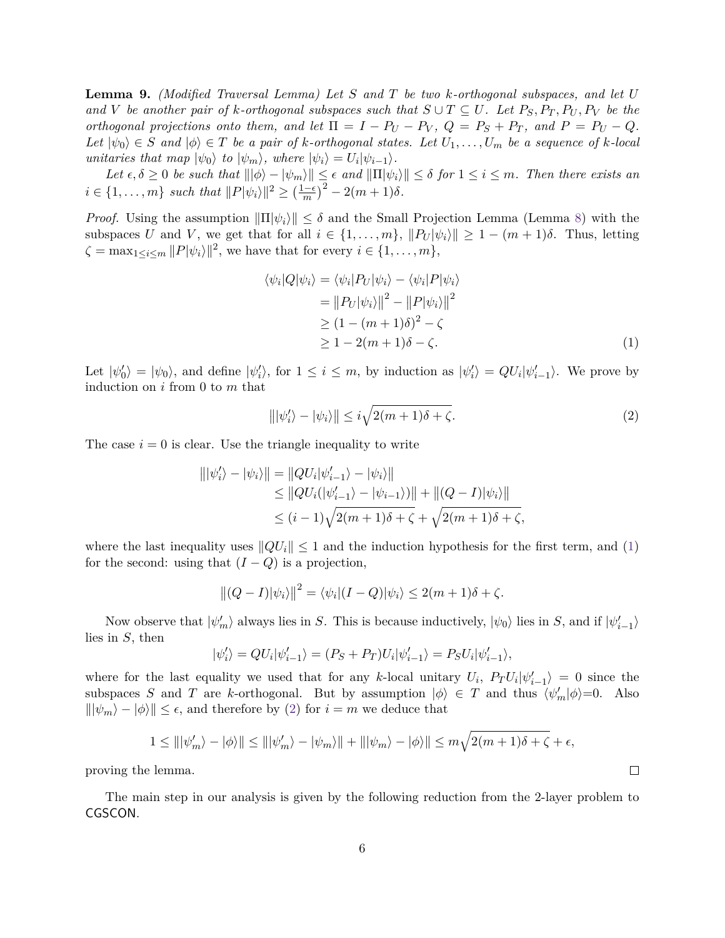<span id="page-5-2"></span>**Lemma 9.** *(Modified Traversal Lemma) Let S and T be two k-orthogonal subspaces, and let U and V be another pair of k-orthogonal subspaces such that*  $S \cup T \subseteq U$ *. Let*  $P_S, P_T, P_U, P_V$  *be the orthogonal projections onto them, and let*  $\Pi = I - P_U - P_V$ ,  $Q = P_S + P_T$ , and  $P = P_U - Q$ .  $Let |ψ<sub>0</sub>⟩ ∈ S and |φ⟩ ∈ T be a pair of k-orthogonal states. Let  $U_1, \ldots, U_m$  be a sequence of k-local$ *unitaries that map*  $|\psi_0\rangle$  *to*  $|\psi_m\rangle$ *, where*  $|\psi_i\rangle = U_i |\psi_{i-1}\rangle$ *.* 

 $Let \epsilon, \delta \geq 0 \text{ be such that } |||\phi\rangle - |\psi_m\rangle|| \leq \epsilon \text{ and } ||\Pi|\psi_i\rangle|| \leq \delta \text{ for } 1 \leq i \leq m.$  Then there exists an  $i \in \{1, \ldots, m\}$  *such that*  $||P|\psi_i\rangle||^2 \geq \left(\frac{1-\epsilon}{m}\right)$  $\left(\frac{-\epsilon}{m}\right)^2 - 2(m+1)\delta$ .

*Proof.* Using the assumption  $\|\Pi|\psi_i\rangle\| \leq \delta$  and the Small Projection Lemma (Lemma [8\)](#page-4-0) with the subspaces *U* and *V*, we get that for all  $i \in \{1, \ldots, m\}$ ,  $||P_U|\psi_i|| \geq 1 - (m+1)\delta$ . Thus, letting  $\zeta = \max_{1 \leq i \leq m} ||P|\psi_i\rangle||^2$ , we have that for every  $i \in \{1, \ldots, m\}$ ,

<span id="page-5-0"></span>
$$
\langle \psi_i | Q | \psi_i \rangle = \langle \psi_i | P_U | \psi_i \rangle - \langle \psi_i | P | \psi_i \rangle
$$
  
= 
$$
||P_U | \psi_i \rangle ||^2 - ||P | \psi_i \rangle ||^2
$$
  

$$
\geq (1 - (m+1)\delta)^2 - \zeta
$$
  

$$
\geq 1 - 2(m+1)\delta - \zeta.
$$
 (1)

Let  $|\psi_0\rangle = |\psi_0\rangle$ , and define  $|\psi_i'\rangle$ , for  $1 \leq i \leq m$ , by induction as  $|\psi_i'\rangle = QU_i|\psi_{i-1}'\rangle$ . We prove by induction on *i* from 0 to *m* that

<span id="page-5-1"></span>
$$
\|\psi_i'\rangle - \psi_i\|\leq i\sqrt{2(m+1)\delta + \zeta}.\tag{2}
$$

 $\Box$ 

The case  $i = 0$  is clear. Use the triangle inequality to write

$$
||\psi'_i\rangle - |\psi_i\rangle|| = ||QU_i|\psi'_{i-1}\rangle - |\psi_i\rangle||
$$
  
\n
$$
\leq ||QU_i(|\psi'_{i-1}\rangle - |\psi_{i-1}\rangle)|| + ||(Q - I)|\psi_i\rangle||
$$
  
\n
$$
\leq (i - 1)\sqrt{2(m + 1)\delta + \zeta} + \sqrt{2(m + 1)\delta + \zeta},
$$

where the last inequality uses  $||QU_i|| \leq 1$  and the induction hypothesis for the first term, and [\(1\)](#page-5-0) for the second: using that  $(I - Q)$  is a projection,

$$
||(Q - I)|\psi_i\rangle||^2 = \langle \psi_i|(I - Q)|\psi_i\rangle \le 2(m + 1)\delta + \zeta.
$$

Now observe that  $|\psi'_m\rangle$  always lies in *S*. This is because inductively,  $|\psi_0\rangle$  lies in *S*, and if  $|\psi'_{i-1}\rangle$ lies in *S*, then

$$
|\psi'_i\rangle = QU_i|\psi'_{i-1}\rangle = (P_S + P_T)U_i|\psi'_{i-1}\rangle = P_SU_i|\psi'_{i-1}\rangle,
$$

where for the last equality we used that for any *k*-local unitary  $U_i$ ,  $P_T U_i |\psi'_{i-1}\rangle = 0$  since the subspaces *S* and *T* are *k*-orthogonal. But by assumption  $|\phi\rangle \in T$  and thus  $\langle \psi'_m | \phi \rangle = 0$ . Also  $\|\psi_m\rangle - \psi\| \leq \epsilon$ , and therefore by [\(2\)](#page-5-1) for  $i = m$  we deduce that

$$
1 \leq |||\psi'_m\rangle - |\phi\rangle|| \leq |||\psi'_m\rangle - |\psi_m\rangle|| + |||\psi_m\rangle - |\phi\rangle|| \leq m\sqrt{2(m+1)\delta + \zeta} + \epsilon,
$$

proving the lemma.

The main step in our analysis is given by the following reduction from the 2-layer problem to CGSCON.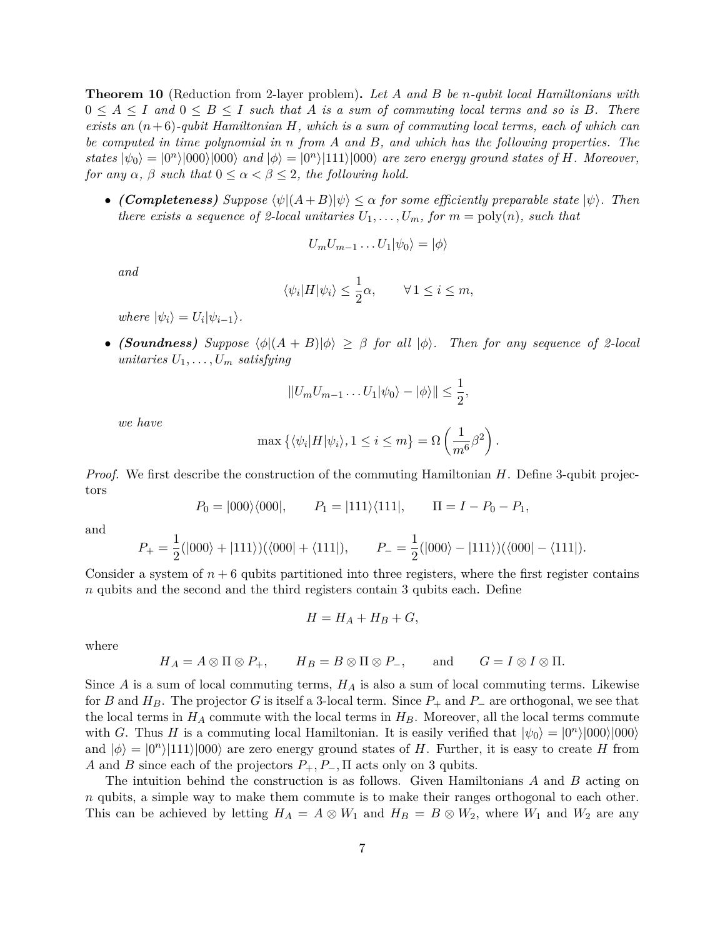<span id="page-6-0"></span>**Theorem 10** (Reduction from 2-layer problem)**.** *Let A and B be n-qubit local Hamiltonians with*  $0 \leq A \leq I$  and  $0 \leq B \leq I$  such that A is a sum of commuting local terms and so is B. There *exists an* (*n*+ 6)*-qubit Hamiltonian H, which is a sum of commuting local terms, each of which can be computed in time polynomial in n from A and B, and which has the following properties. The states*  $|\psi_0\rangle = |0^n\rangle|000\rangle|000\rangle$  *and*  $|\phi\rangle = |0^n\rangle|111\rangle|000\rangle$  *are zero energy ground states of H. Moreover, for any*  $\alpha$ ,  $\beta$  *such that*  $0 \leq \alpha < \beta \leq 2$ , the following hold.

• *(Completeness) Suppose*  $\langle \psi | (A + B) | \psi \rangle \leq \alpha$  *for some efficiently preparable state*  $|\psi \rangle$ *. Then there exists a sequence of 2-local unitaries*  $U_1, \ldots, U_m$ *, for*  $m = \text{poly}(n)$ *, such that* 

$$
U_m U_{m-1} \dots U_1 |\psi_0\rangle = |\phi\rangle
$$

*and*

$$
\langle \psi_i | H | \psi_i \rangle \leq \frac{1}{2} \alpha, \qquad \forall \, 1 \leq i \leq m,
$$

 $where \psi_i\rangle = U_i|\psi_{i-1}\rangle.$ 

• *(Soundness) Suppose*  $\langle \phi | (A + B) | \phi \rangle \geq \beta$  *for all*  $| \phi \rangle$ . Then for any sequence of 2-local *unitaries*  $U_1, \ldots, U_m$  *satisfying* 

$$
||U_m U_{m-1} \dots U_1 |\psi_0\rangle - |\phi\rangle|| \le \frac{1}{2},
$$

*we have*

$$
\max\left\{ \langle \psi_i | H | \psi_i \rangle, 1 \leq i \leq m \right\} = \Omega \left( \frac{1}{m^6} \beta^2 \right).
$$

*Proof.* We first describe the construction of the commuting Hamiltonian *H*. Define 3-qubit projectors

$$
P_0 = |000\rangle\langle000|,
$$
  $P_1 = |111\rangle\langle111|,$   $\Pi = I - P_0 - P_1,$ 

and

$$
P_{+} = \frac{1}{2}(|000\rangle + |111\rangle)(\langle 000| + \langle 111|), \qquad P_{-} = \frac{1}{2}(|000\rangle - |111\rangle)(\langle 000| - \langle 111|).
$$

Consider a system of  $n + 6$  qubits partitioned into three registers, where the first register contains *n* qubits and the second and the third registers contain 3 qubits each. Define

$$
H = H_A + H_B + G,
$$

where

$$
H_A = A \otimes \Pi \otimes P_+, \qquad H_B = B \otimes \Pi \otimes P_-, \qquad \text{and} \qquad G = I \otimes I \otimes \Pi.
$$

Since *A* is a sum of local commuting terms, *H<sup>A</sup>* is also a sum of local commuting terms. Likewise for *B* and  $H_B$ . The projector *G* is itself a 3-local term. Since  $P_+$  and  $P_-$  are orthogonal, we see that the local terms in  $H_A$  commute with the local terms in  $H_B$ . Moreover, all the local terms commute with *G*. Thus *H* is a commuting local Hamiltonian. It is easily verified that  $|\psi_0\rangle = |0^n\rangle|000\rangle|000\rangle$ and  $|\phi\rangle = |0^n\rangle|111\rangle|000\rangle$  are zero energy ground states of *H*. Further, it is easy to create *H* from *A* and *B* since each of the projectors *P*+*, P*−*,* Π acts only on 3 qubits.

The intuition behind the construction is as follows. Given Hamiltonians *A* and *B* acting on *n* qubits, a simple way to make them commute is to make their ranges orthogonal to each other. This can be achieved by letting  $H_A = A \otimes W_1$  and  $H_B = B \otimes W_2$ , where  $W_1$  and  $W_2$  are any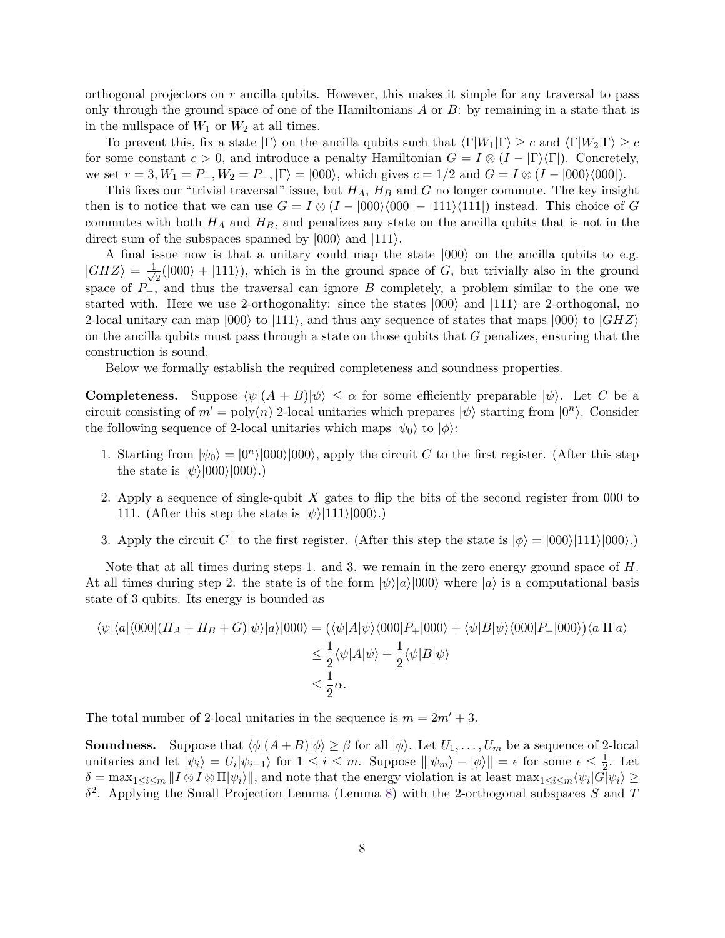orthogonal projectors on *r* ancilla qubits. However, this makes it simple for any traversal to pass only through the ground space of one of the Hamiltonians *A* or *B*: by remaining in a state that is in the nullspace of  $W_1$  or  $W_2$  at all times.

To prevent this, fix a state  $|\Gamma\rangle$  on the ancilla qubits such that  $\langle \Gamma |W_1|\Gamma\rangle \geq c$  and  $\langle \Gamma |W_2|\Gamma\rangle \geq c$ for some constant  $c > 0$ , and introduce a penalty Hamiltonian  $G = I \otimes (I - |\Gamma\rangle\langle\Gamma|)$ . Concretely, we set  $r = 3, W_1 = P_+, W_2 = P_-, |\Gamma\rangle = |000\rangle$ , which gives  $c = 1/2$  and  $G = I \otimes (I - |000\rangle\langle000|)$ .

This fixes our "trivial traversal" issue, but *HA*, *H<sup>B</sup>* and *G* no longer commute. The key insight then is to notice that we can use  $G = I \otimes (I - |000\rangle\langle000| - |111\rangle\langle111|)$  instead. This choice of *G* commutes with both  $H_A$  and  $H_B$ , and penalizes any state on the ancilla qubits that is not in the direct sum of the subspaces spanned by  $|000\rangle$  and  $|111\rangle$ .

A final issue now is that a unitary could map the state  $|000\rangle$  on the ancilla qubits to e.g.  $|GHZ\rangle = \frac{1}{\sqrt{2}}$  $\frac{1}{2}(|000\rangle + |111\rangle)$ , which is in the ground space of *G*, but trivially also in the ground space of  $P_{-}^{\prime}$ , and thus the traversal can ignore *B* completely, a problem similar to the one we started with. Here we use 2-orthogonality: since the states  $|000\rangle$  and  $|111\rangle$  are 2-orthogonal, no 2-local unitary can map  $|000\rangle$  to  $|111\rangle$ , and thus any sequence of states that maps  $|000\rangle$  to  $|GHZ\rangle$ on the ancilla qubits must pass through a state on those qubits that *G* penalizes, ensuring that the construction is sound.

Below we formally establish the required completeness and soundness properties.

**Completeness.** Suppose  $\langle \psi | (A + B) | \psi \rangle \leq \alpha$  for some efficiently preparable  $|\psi \rangle$ . Let *C* be a circuit consisting of  $m' = \text{poly}(n)$  2-local unitaries which prepares  $|\psi\rangle$  starting from  $|0^n\rangle$ . Consider the following sequence of 2-local unitaries which maps  $|\psi_0\rangle$  to  $|\phi\rangle$ :

- 1. Starting from  $|\psi_0\rangle = |0^n\rangle|000\rangle|000\rangle$ , apply the circuit *C* to the first register. (After this step the state is  $|\psi\rangle|000\rangle|000\rangle.$
- 2. Apply a sequence of single-qubit *X* gates to flip the bits of the second register from 000 to 111. (After this step the state is  $|\psi\rangle|111\rangle|000\rangle.$ )
- 3. Apply the circuit  $C^{\dagger}$  to the first register. (After this step the state is  $|\phi\rangle = |000\rangle|111\rangle|000\rangle.$ )

Note that at all times during steps 1. and 3. we remain in the zero energy ground space of *H*. At all times during step 2. the state is of the form  $|\psi\rangle|a\rangle|000\rangle$  where  $|a\rangle$  is a computational basis state of 3 qubits. Its energy is bounded as

$$
\langle \psi | \langle a | \langle 000 | (H_A + H_B + G) | \psi \rangle | a \rangle | 000 \rangle = (\langle \psi | A | \psi \rangle \langle 000 | P_+ | 000 \rangle + \langle \psi | B | \psi \rangle \langle 000 | P_- | 000 \rangle) \langle a | \Pi | a \rangle
$$
  

$$
\leq \frac{1}{2} \langle \psi | A | \psi \rangle + \frac{1}{2} \langle \psi | B | \psi \rangle
$$
  

$$
\leq \frac{1}{2} \alpha.
$$

The total number of 2-local unitaries in the sequence is  $m = 2m' + 3$ .

**Soundness.** Suppose that  $\langle \phi | (A + B) | \phi \rangle \geq \beta$  for all  $|\phi \rangle$ . Let  $U_1, \ldots, U_m$  be a sequence of 2-local unitaries and let  $|\psi_i\rangle = U_i |\psi_{i-1}\rangle$  for  $1 \leq i \leq m$ . Suppose  $\| |\psi_m\rangle - |\phi\rangle \| = \epsilon$  for some  $\epsilon \leq \frac{1}{2}$  $\frac{1}{2}$ . Let  $\delta = \max_{1 \leq i \leq m} ||I \otimes I \otimes \Pi|\psi_i\rangle||$ , and note that the energy violation is at least  $\max_{1 \leq i \leq m} \langle \psi_i | G | \psi_i \rangle \ge$ *δ* 2 . Applying the Small Projection Lemma (Lemma [8\)](#page-4-0) with the 2-orthogonal subspaces *S* and *T*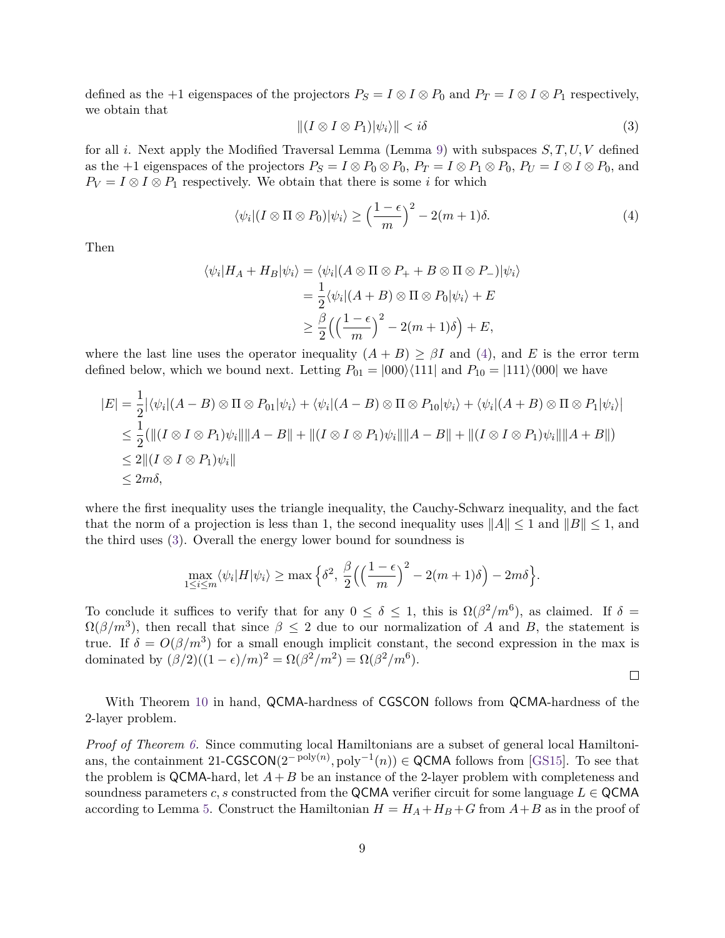defined as the +1 eigenspaces of the projectors  $P_S = I \otimes I \otimes P_0$  and  $P_T = I \otimes I \otimes P_1$  respectively, we obtain that

<span id="page-8-1"></span>
$$
||(I \otimes I \otimes P_1)|\psi_i\rangle|| < i\delta \tag{3}
$$

for all *i*. Next apply the Modified Traversal Lemma (Lemma [9\)](#page-5-2) with subspaces *S, T, U, V* defined as the +1 eigenspaces of the projectors  $P_S = I \otimes P_0 \otimes P_0$ ,  $P_T = I \otimes P_1 \otimes P_0$ ,  $P_U = I \otimes I \otimes P_0$ , and  $P_V = I \otimes I \otimes P_1$  respectively. We obtain that there is some *i* for which

<span id="page-8-0"></span>
$$
\langle \psi_i | (I \otimes \Pi \otimes P_0) | \psi_i \rangle \ge \left(\frac{1-\epsilon}{m}\right)^2 - 2(m+1)\delta. \tag{4}
$$

Then

$$
\langle \psi_i | H_A + H_B | \psi_i \rangle = \langle \psi_i | (A \otimes \Pi \otimes P_+ + B \otimes \Pi \otimes P_-) | \psi_i \rangle
$$
  
=  $\frac{1}{2} \langle \psi_i | (A + B) \otimes \Pi \otimes P_0 | \psi_i \rangle + E$   
 $\geq \frac{\beta}{2} \Big( \Big( \frac{1 - \epsilon}{m} \Big)^2 - 2(m + 1)\delta \Big) + E,$ 

where the last line uses the operator inequality  $(A + B) \geq \beta I$  and [\(4\)](#page-8-0), and E is the error term defined below, which we bound next. Letting  $P_{01} = |000\rangle\langle111|$  and  $P_{10} = |111\rangle\langle000|$  we have

$$
|E| = \frac{1}{2} |\langle \psi_i | (A - B) \otimes \Pi \otimes P_{01} | \psi_i \rangle + \langle \psi_i | (A - B) \otimes \Pi \otimes P_{10} | \psi_i \rangle + \langle \psi_i | (A + B) \otimes \Pi \otimes P_1 | \psi_i \rangle |
$$
  
\n
$$
\leq \frac{1}{2} (||(I \otimes I \otimes P_1)\psi_i || ||A - B|| + ||(I \otimes I \otimes P_1)\psi_i || ||A - B|| + ||(I \otimes I \otimes P_1)\psi_i || ||A + B||)
$$
  
\n
$$
\leq 2 ||(I \otimes I \otimes P_1)\psi_i ||
$$
  
\n
$$
\leq 2m\delta,
$$

where the first inequality uses the triangle inequality, the Cauchy-Schwarz inequality, and the fact that the norm of a projection is less than 1, the second inequality uses  $||A|| \le 1$  and  $||B|| \le 1$ , and the third uses [\(3\)](#page-8-1). Overall the energy lower bound for soundness is

$$
\max_{1 \le i \le m} \langle \psi_i | H | \psi_i \rangle \ge \max \Big\{ \delta^2, \frac{\beta}{2} \Big( \Big(\frac{1-\epsilon}{m}\Big)^2 - 2(m+1)\delta \Big) - 2m\delta \Big\}.
$$

To conclude it suffices to verify that for any  $0 \le \delta \le 1$ , this is  $\Omega(\beta^2/m^6)$ , as claimed. If  $\delta =$  $\Omega(\beta/m^3)$ , then recall that since  $\beta \leq 2$  due to our normalization of *A* and *B*, the statement is true. If  $\delta = O(\beta/m^3)$  for a small enough implicit constant, the second expression in the max is dominated by  $(\beta/2)((1-\epsilon)/m)^2 = \Omega(\beta^2/m^2) = \Omega(\beta^2/m^6)$ .

$$
\Box
$$

With Theorem [10](#page-6-0) in hand, QCMA-hardness of CGSCON follows from QCMA-hardness of the 2-layer problem.

*Proof of Theorem [6.](#page-3-1)* Since commuting local Hamiltonians are a subset of general local Hamiltoni-ans, the containment 21-CGSCON(2<sup>-poly(n</sup>), poly<sup>-1</sup>(n)) ∈ QCMA follows from [\[GS15\]](#page-10-0). To see that the problem is QCMA-hard, let  $A + B$  be an instance of the 2-layer problem with completeness and soundness parameters *c*, *s* constructed from the QCMA verifier circuit for some language  $L \in \mathsf{QCMA}$ according to Lemma [5.](#page-3-2) Construct the Hamiltonian  $H = H_A + H_B + G$  from  $A + B$  as in the proof of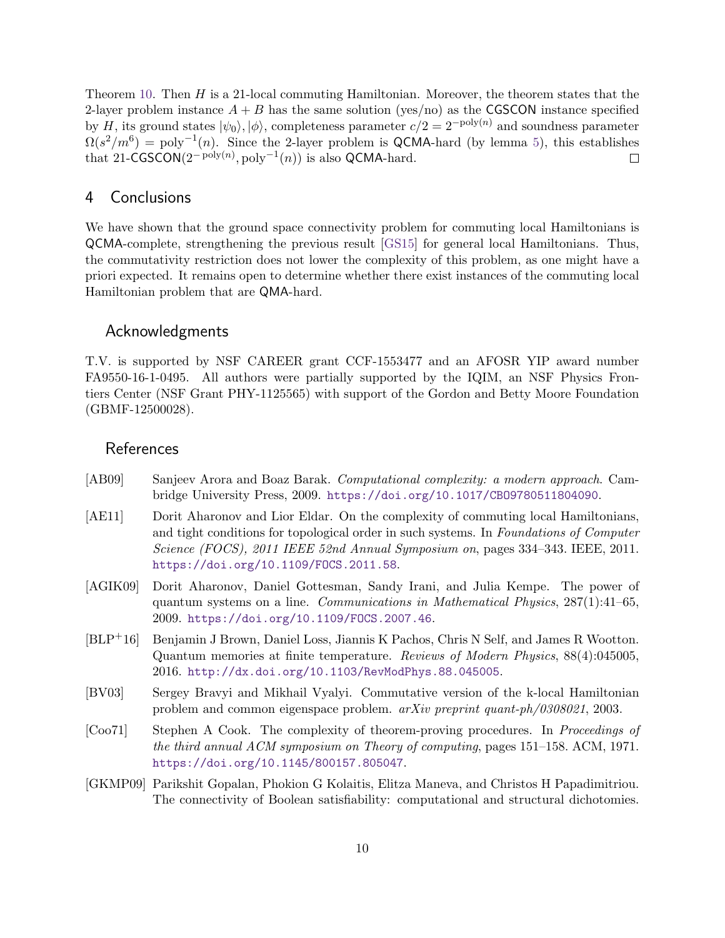Theorem [10.](#page-6-0) Then *H* is a 21-local commuting Hamiltonian. Moreover, the theorem states that the 2-layer problem instance  $A + B$  has the same solution (yes/no) as the CGSCON instance specified by *H*, its ground states  $|\psi_0\rangle$ ,  $|\phi\rangle$ , completeness parameter  $c/2 = 2^{-\text{poly}(n)}$  and soundness parameter  $\Omega(s^2/m^6) = \text{poly}^{-1}(n)$ . Since the 2-layer problem is QCMA-hard (by lemma [5\)](#page-3-2), this establishes that 21-CGSCON( $2^{-\text{poly}(n)}$ ,  $\text{poly}^{-1}(n)$ ) is also QCMA-hard.  $\Box$ 

#### <span id="page-9-5"></span>4 Conclusions

We have shown that the ground space connectivity problem for commuting local Hamiltonians is QCMA-complete, strengthening the previous result [\[GS15\]](#page-10-0) for general local Hamiltonians. Thus, the commutativity restriction does not lower the complexity of this problem, as one might have a priori expected. It remains open to determine whether there exist instances of the commuting local Hamiltonian problem that are QMA-hard.

#### Acknowledgments

T.V. is supported by NSF CAREER grant CCF-1553477 and an AFOSR YIP award number FA9550-16-1-0495. All authors were partially supported by the IQIM, an NSF Physics Frontiers Center (NSF Grant PHY-1125565) with support of the Gordon and Betty Moore Foundation (GBMF-12500028).

#### **References**

- <span id="page-9-7"></span>[AB09] Sanjeev Arora and Boaz Barak. Computational complexity: a modern approach. Cambridge University Press, 2009. [https://doi.org/10.1017/CBO9780511804090]( https://doi.org/10.1017/CBO9780511804090).
- <span id="page-9-2"></span>[AE11] Dorit Aharonov and Lior Eldar. On the complexity of commuting local Hamiltonians, and tight conditions for topological order in such systems. In Foundations of Computer Science (FOCS), 2011 IEEE 52nd Annual Symposium on, pages 334–343. IEEE, 2011. <https://doi.org/10.1109/FOCS.2011.58>.
- <span id="page-9-6"></span>[AGIK09] Dorit Aharonov, Daniel Gottesman, Sandy Irani, and Julia Kempe. The power of quantum systems on a line. Communications in Mathematical Physics,  $287(1):41-65$ , 2009. <https://doi.org/10.1109/FOCS.2007.46>.
- <span id="page-9-4"></span>[BLP+16] Benjamin J Brown, Daniel Loss, Jiannis K Pachos, Chris N Self, and James R Wootton. Quantum memories at finite temperature. Reviews of Modern Physics, 88(4):045005, 2016. [http://dx.doi.org/10.1103/RevModPhys.88.045005]( http://dx.doi.org/10.1103/RevModPhys.88.045005).
- <span id="page-9-1"></span>[BV03] Sergey Bravyi and Mikhail Vyalyi. Commutative version of the k-local Hamiltonian problem and common eigenspace problem. arXiv preprint quant-ph/0308021, 2003.
- <span id="page-9-0"></span>[Coo71] Stephen A Cook. The complexity of theorem-proving procedures. In Proceedings of the third annual ACM symposium on Theory of computing, pages 151–158. ACM, 1971. [https://doi.org/10.1145/800157.805047]( https://doi.org/10.1145/800157.805047).
- <span id="page-9-3"></span>[GKMP09] Parikshit Gopalan, Phokion G Kolaitis, Elitza Maneva, and Christos H Papadimitriou. The connectivity of Boolean satisfiability: computational and structural dichotomies.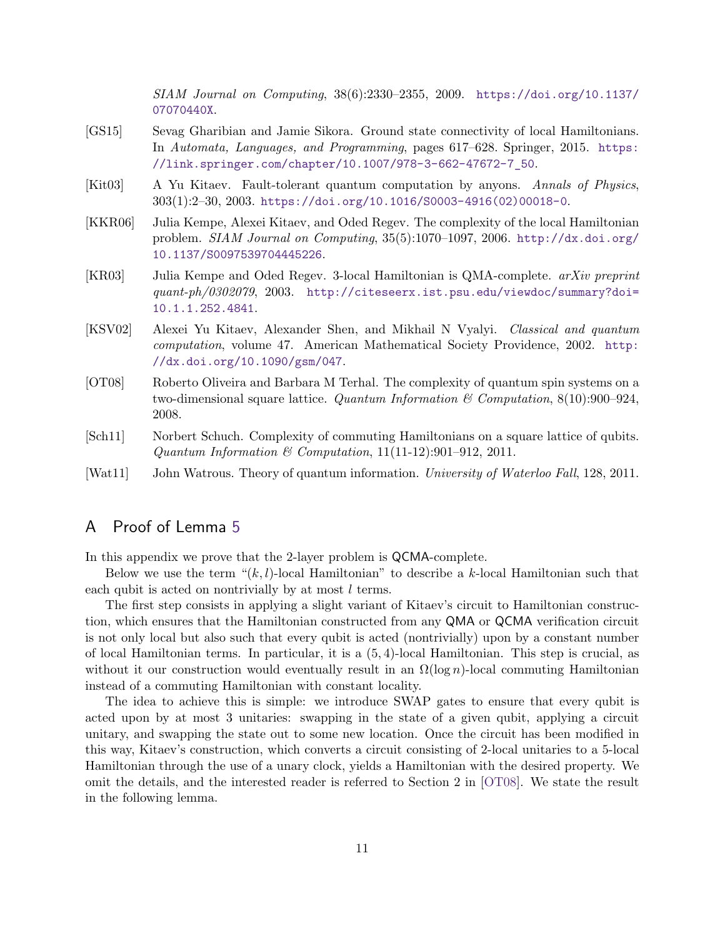SIAM Journal on Computing, 38(6):2330–2355, 2009. [https://doi.org/10.1137/](https://doi.org/10.1137/07070440X) [07070440X](https://doi.org/10.1137/07070440X).

- <span id="page-10-0"></span>[GS15] Sevag Gharibian and Jamie Sikora. Ground state connectivity of local Hamiltonians. In Automata, Languages, and Programming, pages 617–628. Springer, 2015. [https:](https://link.springer.com/chapter/10.1007/978-3-662-47672-7_50) [//link.springer.com/chapter/10.1007/978-3-662-47672-7\\_50](https://link.springer.com/chapter/10.1007/978-3-662-47672-7_50).
- <span id="page-10-4"></span>[Kit03] A Yu Kitaev. Fault-tolerant quantum computation by anyons. Annals of Physics, 303(1):2–30, 2003. [https://doi.org/10.1016/S0003-4916\(02\)00018-0](https://doi.org/10.1016/S0003-4916(02)00018-0).
- <span id="page-10-3"></span>[KKR06] Julia Kempe, Alexei Kitaev, and Oded Regev. The complexity of the local Hamiltonian problem. SIAM Journal on Computing, 35(5):1070–1097, 2006. [http://dx.doi.org/](http://dx.doi.org/10.1137/S0097539704445226) [10.1137/S0097539704445226](http://dx.doi.org/10.1137/S0097539704445226).
- <span id="page-10-2"></span>[KR03] Julia Kempe and Oded Regev. 3-local Hamiltonian is QMA-complete. arXiv preprint quant-ph/0302079, 2003. [http://citeseerx.ist.psu.edu/viewdoc/summary?doi=](http://citeseerx.ist.psu.edu/viewdoc/summary?doi=10.1.1.252.4841) [10.1.1.252.4841](http://citeseerx.ist.psu.edu/viewdoc/summary?doi=10.1.1.252.4841).
- <span id="page-10-1"></span>[KSV02] Alexei Yu Kitaev, Alexander Shen, and Mikhail N Vyalyi. Classical and quantum computation, volume 47. American Mathematical Society Providence, 2002. [http:](http://dx.doi.org/10.1090/gsm/047) [//dx.doi.org/10.1090/gsm/047](http://dx.doi.org/10.1090/gsm/047).
- <span id="page-10-8"></span>[OT08] Roberto Oliveira and Barbara M Terhal. The complexity of quantum spin systems on a two-dimensional square lattice. Quantum Information  $\mathscr{C}$  Computation, 8(10):900–924, 2008.
- <span id="page-10-5"></span>[Sch11] Norbert Schuch. Complexity of commuting Hamiltonians on a square lattice of qubits. Quantum Information & Computation,  $11(11-12):901-912$ , 2011.
- <span id="page-10-7"></span>[Wat11] John Watrous. Theory of quantum information. University of Waterloo Fall, 128, 2011.

## <span id="page-10-6"></span>A Proof of Lemma [5](#page-3-2)

In this appendix we prove that the 2-layer problem is QCMA-complete.

Below we use the term "(*k, l*)-local Hamiltonian" to describe a *k*-local Hamiltonian such that each qubit is acted on nontrivially by at most *l* terms.

The first step consists in applying a slight variant of Kitaev's circuit to Hamiltonian construction, which ensures that the Hamiltonian constructed from any QMA or QCMA verification circuit is not only local but also such that every qubit is acted (nontrivially) upon by a constant number of local Hamiltonian terms. In particular, it is a (5*,* 4)-local Hamiltonian. This step is crucial, as without it our construction would eventually result in an  $\Omega(\log n)$ -local commuting Hamiltonian instead of a commuting Hamiltonian with constant locality.

The idea to achieve this is simple: we introduce SWAP gates to ensure that every qubit is acted upon by at most 3 unitaries: swapping in the state of a given qubit, applying a circuit unitary, and swapping the state out to some new location. Once the circuit has been modified in this way, Kitaev's construction, which converts a circuit consisting of 2-local unitaries to a 5-local Hamiltonian through the use of a unary clock, yields a Hamiltonian with the desired property. We omit the details, and the interested reader is referred to Section 2 in [\[OT08\]](#page-10-8). We state the result in the following lemma.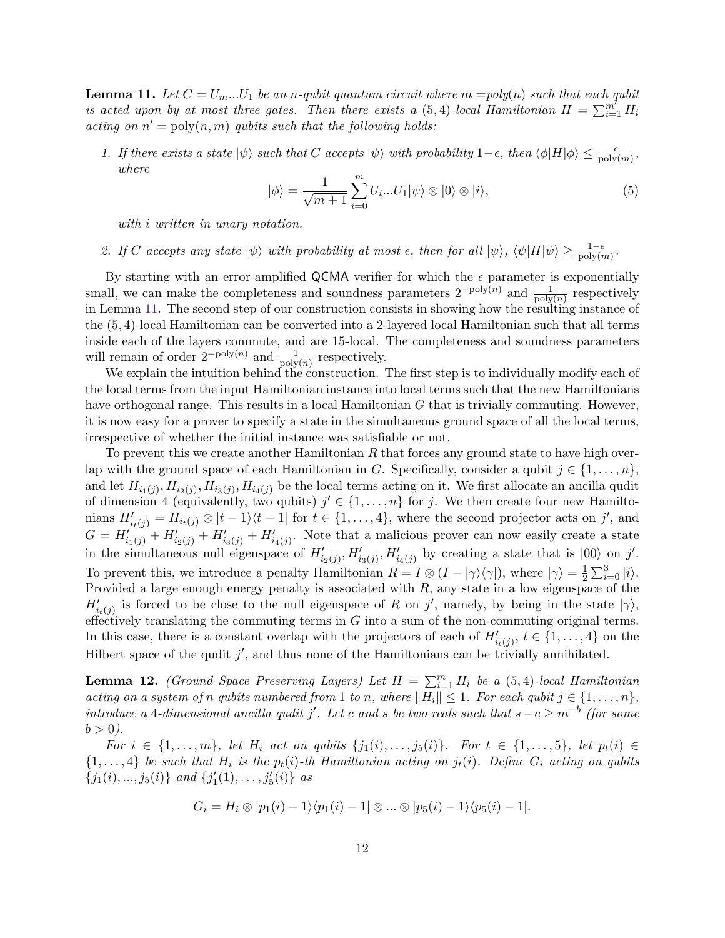<span id="page-11-0"></span>**Lemma 11.** Let  $C = U_m...U_1$  be an *n*-qubit quantum circuit where  $m = poly(n)$  such that each qubit *is acted upon by at most three gates. Then there exists a (5,4)-local Hamiltonian*  $H = \sum_{i=1}^{m} H_i$ *acting on*  $n' = \text{poly}(n, m)$  *qubits such that the following holds:* 

*1. If there exists a state*  $|\psi\rangle$  *such that C accepts*  $|\psi\rangle$  *with probability* 1– $\epsilon$ *, then*  $\langle \phi | H | \phi \rangle \leq \frac{\epsilon}{\text{poly}(m)}$ , *where*

<span id="page-11-2"></span>
$$
|\phi\rangle = \frac{1}{\sqrt{m+1}} \sum_{i=0}^{m} U_i ... U_1 |\psi\rangle \otimes |0\rangle \otimes |i\rangle, \tag{5}
$$

*with i written in unary notation.*

*2. If C* accepts any state  $|\psi\rangle$  with probability at most  $\epsilon$ , then for all  $|\psi\rangle$ ,  $\langle \psi|H|\psi\rangle \geq \frac{1-\epsilon}{\text{poly}(m)}$ .

By starting with an error-amplified QCMA verifier for which the  $\epsilon$  parameter is exponentially small, we can make the completeness and soundness parameters  $2^{-poly(n)}$  and  $\frac{1}{poly(n)}$  respectively in Lemma [11.](#page-11-0) The second step of our construction consists in showing how the resulting instance of the (5*,* 4)-local Hamiltonian can be converted into a 2-layered local Hamiltonian such that all terms inside each of the layers commute, and are 15-local. The completeness and soundness parameters will remain of order  $2^{-poly(n)}$  and  $\frac{1}{poly(n)}$  respectively.

We explain the intuition behind the construction. The first step is to individually modify each of the local terms from the input Hamiltonian instance into local terms such that the new Hamiltonians have orthogonal range. This results in a local Hamiltonian *G* that is trivially commuting. However, it is now easy for a prover to specify a state in the simultaneous ground space of all the local terms, irrespective of whether the initial instance was satisfiable or not.

To prevent this we create another Hamiltonian *R* that forces any ground state to have high overlap with the ground space of each Hamiltonian in *G*. Specifically, consider a qubit  $j \in \{1, \ldots, n\}$ , and let  $H_{i_1(j)}, H_{i_2(j)}, H_{i_3(j)}, H_{i_4(j)}$  be the local terms acting on it. We first allocate an ancilla qudit of dimension 4 (equivalently, two qubits)  $j' \in \{1, \ldots, n\}$  for *j*. We then create four new Hamiltonians  $H'_{i_t(j)} = H_{i_t(j)} \otimes |t-1\rangle\langle t-1|$  for  $t \in \{1, \ldots, 4\}$ , where the second projector acts on *j'*, and  $G = H'_{i_1(j)} + H'_{i_2(j)} + H'_{i_3(j)} + H'_{i_4(j)}$ . Note that a malicious prover can now easily create a state in the simultaneous null eigenspace of  $H'_{i_2(j)}, H'_{i_3(j)}, H'_{i_4(j)}$  by creating a state that is  $|00\rangle$  on *j'*. To prevent this, we introduce a penalty Hamiltonian  $R = I \otimes (I - |\gamma\rangle\langle\gamma|)$ , where  $|\gamma\rangle = \frac{1}{2}$  $\frac{1}{2}\sum_{i=0}^{3}|i\rangle.$ Provided a large enough energy penalty is associated with *R*, any state in a low eigenspace of the  $H'_{i_t(j)}$  is forced to be close to the null eigenspace of *R* on *j*', namely, by being in the state  $|\gamma\rangle$ , effectively translating the commuting terms in *G* into a sum of the non-commuting original terms. In this case, there is a constant overlap with the projectors of each of  $H'_{i_t(j)}, t \in \{1, \ldots, 4\}$  on the Hilbert space of the qudit  $j'$ , and thus none of the Hamiltonians can be trivially annihilated.

<span id="page-11-1"></span>**Lemma 12.** *(Ground Space Preserving Layers) Let*  $H = \sum_{i=1}^{m} H_i$  *be a* (5,4)*-local Hamiltonian acting on a system of n qubits numbered from* 1 *to n, where*  $||H_i|| \leq 1$ *. For each qubit*  $j \in \{1, \ldots, n\}$ *,*  $introduce\ a\ 4-dimensional\ ancilla\ qudit\ j'.\ Let\ c\ and\ s\ be\ two\ reals\ such\ that\ s-c \ge m^{-b}\ (for\ some\ non-1)\ s.t.\ (for\ some\ non-1)\ s.t.\ (for\ a\ is\ non-1)\ s.t.\ (for\ a\ is\ non-1)\ s.t.\ (for\ a\ is\ non-1)\ s.t.\ (for\ a\ is\ non-1)\ s.t.\ (for\ a\ is\ non-1)\ s.t.\ (for\ a\ is\ non-1)\ s.t.\ (for\ a\ is\ non-1)\ s.t.\ (for\ a\ is\ non-1)\ s.t.\ (for\ a\ is\ non-1)\ s.t.\ (for\ a\ is\ non-1)\ s.t.\ (for\ a\ is\ non-1)\$  $b > 0$ ).

For  $i \in \{1, ..., m\}$ , let  $H_i$  act on qubits  $\{j_1(i), ..., j_5(i)\}$ . For  $t \in \{1, ..., 5\}$ , let  $p_t(i) \in$  $\{1, \ldots, 4\}$  be such that  $H_i$  is the  $p_t(i)$ -th Hamiltonian acting on  $j_t(i)$ . Define  $G_i$  acting on qubits  $\{j_1(i), ..., j_5(i)\}\$ and  $\{j'_1(1), ..., j'_5(i)\}\$ as

$$
G_i = H_i \otimes |p_1(i) - 1\rangle\langle p_1(i) - 1| \otimes \ldots \otimes |p_5(i) - 1\rangle\langle p_5(i) - 1|.
$$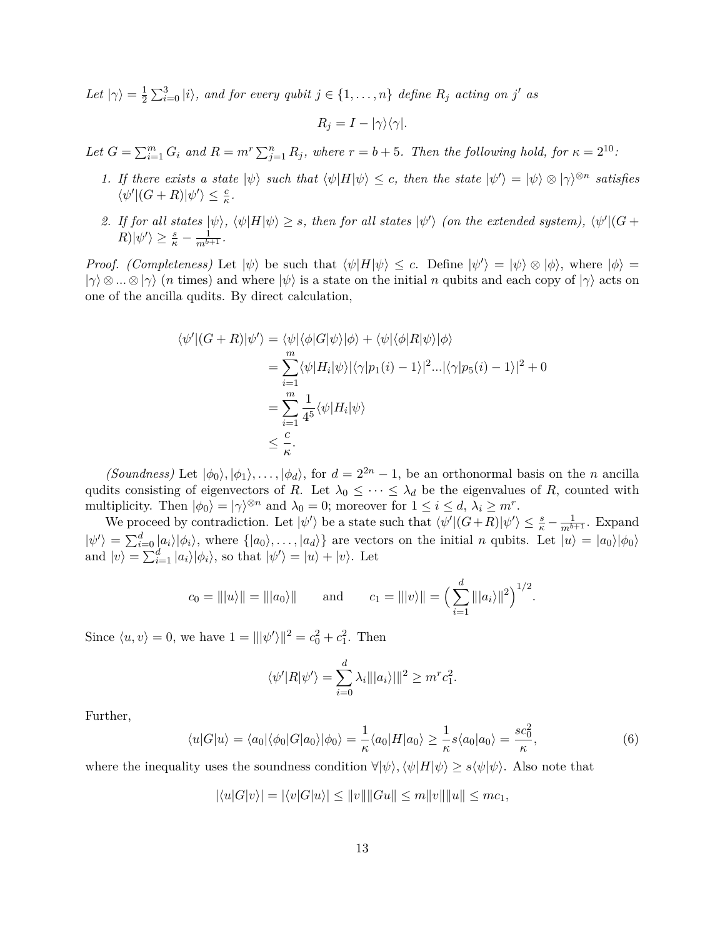Let  $|\gamma\rangle = \frac{1}{2}$  $\frac{1}{2} \sum_{i=0}^{3} |i\rangle$ , and for every qubit  $j \in \{1, \ldots, n\}$  define  $R_j$  acting on  $j'$  as

$$
R_j = I - |\gamma\rangle\langle\gamma|.
$$

Let  $G = \sum_{i=1}^{m} G_i$  and  $R = m^r \sum_{j=1}^{n} R_j$ , where  $r = b + 5$ . Then the following hold, for  $\kappa = 2^{10}$ .

- *1.* If there exists a state  $|\psi\rangle$  such that  $\langle \psi | H | \psi \rangle \leq c$ , then the state  $|\psi'\rangle = |\psi\rangle \otimes |\gamma\rangle^{\otimes n}$  satisfies  $\langle \psi' | (G+R) | \psi' \rangle \leq \frac{c}{\kappa}.$
- *2.* If for all states  $|\psi\rangle$ ,  $\langle \psi|H|\psi\rangle \geq s$ , then for all states  $|\psi'\rangle$  (on the extended system),  $\langle \psi'|(G+\rangle)$  $R|\psi'\rangle \geq \frac{s}{\kappa} - \frac{1}{m^{b+1}}.$

*Proof. (Completeness)* Let  $|\psi\rangle$  be such that  $\langle \psi | H | \psi \rangle \leq c$ . Define  $|\psi'\rangle = |\psi\rangle \otimes |\phi\rangle$ , where  $|\phi\rangle =$  $|\gamma\rangle \otimes ... \otimes |\gamma\rangle$  (*n* times) and where  $|\psi\rangle$  is a state on the initial *n* qubits and each copy of  $|\gamma\rangle$  acts on one of the ancilla qudits. By direct calculation,

$$
\langle \psi' | (G+R) | \psi' \rangle = \langle \psi | \langle \phi | G | \psi \rangle | \phi \rangle + \langle \psi | \langle \phi | R | \psi \rangle | \phi \rangle
$$
  
= 
$$
\sum_{i=1}^{m} \langle \psi | H_i | \psi \rangle | \langle \gamma | p_1(i) - 1 \rangle |^2 ... | \langle \gamma | p_5(i) - 1 \rangle |^2 + 0
$$
  
= 
$$
\sum_{i=1}^{m} \frac{1}{4^5} \langle \psi | H_i | \psi \rangle
$$
  

$$
\leq \frac{c}{\kappa}.
$$

*(Soundness)* Let  $|\phi_0\rangle, |\phi_1\rangle, \dots, |\phi_d\rangle$ , for  $d = 2^{2n} - 1$ , be an orthonormal basis on the *n* ancilla qudits consisting of eigenvectors of *R*. Let  $\lambda_0 \leq \cdots \leq \lambda_d$  be the eigenvalues of *R*, counted with multiplicity. Then  $|\phi_0\rangle = |\gamma\rangle^{\otimes n}$  and  $\lambda_0 = 0$ ; moreover for  $1 \le i \le d$ ,  $\lambda_i \ge m^r$ .

We proceed by contradiction. Let  $|\psi'\rangle$  be a state such that  $\langle \psi' | (G+R) | \psi' \rangle \leq \frac{s}{\kappa} - \frac{1}{m^{b+1}}$ . Expand  $|\psi'\rangle = \sum_{i=0}^{d} |a_i\rangle |\phi_i\rangle$ , where  $\{|a_0\rangle, \ldots, |a_d\rangle\}$  are vectors on the initial *n* qubits. Let  $|u\rangle = |a_0\rangle |\phi_0\rangle$ and  $|v\rangle = \sum_{i=1}^{d} |a_i\rangle |\phi_i\rangle$ , so that  $|\psi'\rangle = |u\rangle + |v\rangle$ . Let

$$
c_0 = |||u\rangle|| = |||a_0\rangle||
$$
 and  $c_1 = |||v\rangle|| = \left(\sum_{i=1}^d |||a_i\rangle||^2\right)^{1/2}.$ 

Since  $\langle u, v \rangle = 0$ , we have  $1 = ||\psi'\rangle||^2 = c_0^2 + c_1^2$ . Then

$$
\langle \psi' | R | \psi' \rangle = \sum_{i=0}^{d} \lambda_i || |a_i \rangle ||^2 \geq m^r c_1^2.
$$

Further,

<span id="page-12-0"></span>
$$
\langle u|G|u\rangle = \langle a_0|\langle \phi_0|G|a_0\rangle|\phi_0\rangle = \frac{1}{\kappa} \langle a_0|H|a_0\rangle \ge \frac{1}{\kappa} s \langle a_0|a_0\rangle = \frac{s c_0^2}{\kappa},\tag{6}
$$

where the inequality uses the soundness condition  $\forall |\psi\rangle, \langle \psi|H|\psi\rangle \geq s \langle \psi|\psi\rangle$ . Also note that

$$
|\langle u|G|v\rangle| = |\langle v|G|u\rangle| \le ||v|| ||Gu|| \le m||v|| ||u|| \le mc_1,
$$